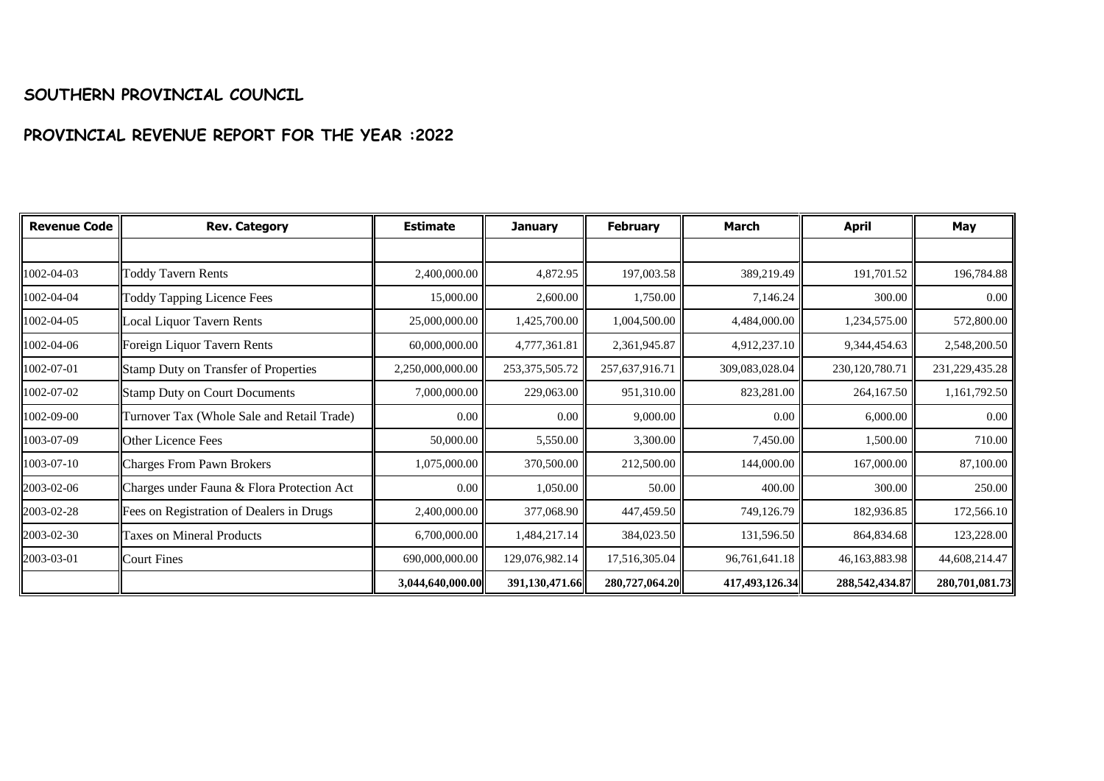## **SOUTHERN PROVINCIAL COUNCIL**

## **PROVINCIAL REVENUE REPORT FOR THE YEAR :2022**

| <b>Revenue Code</b> | <b>Rev. Category</b>                        | <b>Estimate</b>  | <b>January</b>    | <b>February</b> | <b>March</b>   | <b>April</b>      | May            |
|---------------------|---------------------------------------------|------------------|-------------------|-----------------|----------------|-------------------|----------------|
|                     |                                             |                  |                   |                 |                |                   |                |
| 1002-04-03          | <b>Toddy Tavern Rents</b>                   | 2,400,000.00     | 4,872.95          | 197,003.58      | 389,219.49     | 191,701.52        | 196,784.88     |
| 1002-04-04          | <b>Toddy Tapping Licence Fees</b>           | 15,000.00        | 2,600.00          | 1,750.00        | 7,146.24       | 300.00            | 0.00           |
| 1002-04-05          | Local Liquor Tavern Rents                   | 25,000,000.00    | 1,425,700.00      | 1,004,500.00    | 4,484,000.00   | 1,234,575.00      | 572,800.00     |
| 1002-04-06          | Foreign Liquor Tavern Rents                 | 60,000,000.00    | 4,777,361.81      | 2,361,945.87    | 4,912,237.10   | 9,344,454.63      | 2,548,200.50   |
| 1002-07-01          | <b>Stamp Duty on Transfer of Properties</b> | 2,250,000,000.00 | 253, 375, 505. 72 | 257,637,916.71  | 309,083,028.04 | 230, 120, 780. 71 | 231,229,435.28 |
| 1002-07-02          | <b>Stamp Duty on Court Documents</b>        | 7,000,000.00     | 229,063.00        | 951,310.00      | 823,281.00     | 264,167.50        | 1,161,792.50   |
| 1002-09-00          | Turnover Tax (Whole Sale and Retail Trade)  | 0.00             | $0.00\,$          | 9,000.00        | 0.00           | 6,000.00          | 0.00           |
| 1003-07-09          | Other Licence Fees                          | 50,000.00        | 5,550.00          | 3,300.00        | 7,450.00       | 1,500.00          | 710.00         |
| 1003-07-10          | <b>Charges From Pawn Brokers</b>            | 1,075,000.00     | 370,500.00        | 212,500.00      | 144,000.00     | 167,000.00        | 87,100.00      |
| 2003-02-06          | Charges under Fauna & Flora Protection Act  | $0.00\,$         | 1,050.00          | 50.00           | 400.00         | 300.00            | 250.00         |
| 2003-02-28          | Fees on Registration of Dealers in Drugs    | 2,400,000.00     | 377,068.90        | 447,459.50      | 749,126.79     | 182,936.85        | 172,566.10     |
| 2003-02-30          | <b>Taxes on Mineral Products</b>            | 6,700,000.00     | 1,484,217.14      | 384,023.50      | 131,596.50     | 864,834.68        | 123,228.00     |
| 2003-03-01          | <b>Court Fines</b>                          | 690,000,000.00   | 129,076,982.14    | 17,516,305.04   | 96,761,641.18  | 46,163,883.98     | 44,608,214.47  |
|                     |                                             | 3,044,640,000.00 | 391,130,471.66    | 280,727,064.20  | 417,493,126.34 | 288,542,434.87    | 280,701,081.73 |